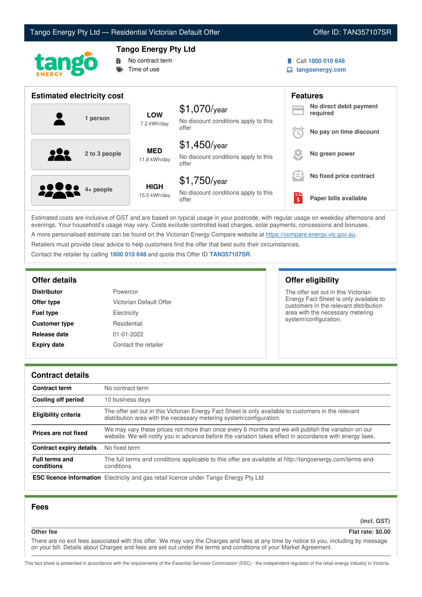



# **Tango Energy Pty Ltd**



Call **1800 010 648**

**tangoenergy.com**

| <b>Estimated electricity cost</b> |                             |                                                                 |          | <b>Features</b>                     |
|-----------------------------------|-----------------------------|-----------------------------------------------------------------|----------|-------------------------------------|
| 1 person                          | <b>LOW</b><br>7.2 kWh/day   | $$1,070$ /year<br>No discount conditions apply to this          |          | No direct debit payment<br>required |
|                                   |                             | offer                                                           |          | No pay on time discount             |
| 2 to 3 people                     | <b>MED</b><br>11.8 kWh/day  | $$1,450$ /year<br>No discount conditions apply to this<br>offer |          | No green power                      |
|                                   |                             | $$1,750$ /year                                                  | s =      | No fixed price contract             |
| <b>0000</b> 4+ people             | <b>HIGH</b><br>15.5 kWh/day | No discount conditions apply to this<br>offer                   | ЕĽ<br>\$ | Paper bills available               |

Estimated costs are inclusive of GST and are based on typical usage in your postcode, with regular usage on weekday afternoons and evenings. Your household's usage may vary. Costs exclude controlled load charges, solar payments, concessions and bonuses. A more personalised estimate can be found on the Victorian Energy Compare website at <https://compare.energy.vic.gov.au>.

Retailers must provide clear advice to help customers find the offer that best suits their circumstances.

Contact the retailer by calling **1800 010 648** and quote this Offer ID **TAN357107SR**.

| <b>Distributor</b>   | Powercor                |
|----------------------|-------------------------|
| Offer type           | Victorian Default Offer |
| <b>Fuel type</b>     | Electricity             |
| <b>Customer type</b> | Residential             |
| Release date         | 01-01-2022              |
| <b>Expiry date</b>   | Contact the retailer    |

### **Offer details Offer eligibility**

The offer set out in this Victorian Energy Fact Sheet is only available to customers in the relevant distribution area with the necessary metering system/configuration.

#### **Contract details**

| <b>Contract term</b>                | No contract term                                                                                                                                                                                                |  |
|-------------------------------------|-----------------------------------------------------------------------------------------------------------------------------------------------------------------------------------------------------------------|--|
| Cooling off period                  | 10 business days                                                                                                                                                                                                |  |
| <b>Eligibility criteria</b>         | The offer set out in this Victorian Energy Fact Sheet is only available to customers in the relevant<br>distribution area with the necessary metering system/configuration.                                     |  |
| Prices are not fixed                | We may vary these prices not more than once every 6 months and we will publish the variation on our<br>website. We will notify you in advance before the variation takes effect in accordance with energy laws. |  |
| <b>Contract expiry details</b>      | No fixed term                                                                                                                                                                                                   |  |
| <b>Full terms and</b><br>conditions | The full terms and conditions applicable to this offer are available at http://tangoenergy.com/terms-and-<br>conditions                                                                                         |  |
|                                     | <b>ESC licence information</b> Electricity and gas retail licence under Tango Energy Pty Ltd                                                                                                                    |  |

#### **Fees**

**(incl. GST)**

## **Other fee Flat rate: \$0.00**

There are no exit fees associated with this offer. We may vary the Charges and fees at any time by notice to you, including by message on your bill. Details about Charges and fees are set out under the terms and conditions of your Market Agreement.

This fact sheet is presented in accordance with the requirements of the Essential Services Commission (ESC) - the independent regulator of the retail energy industry in Victoria.